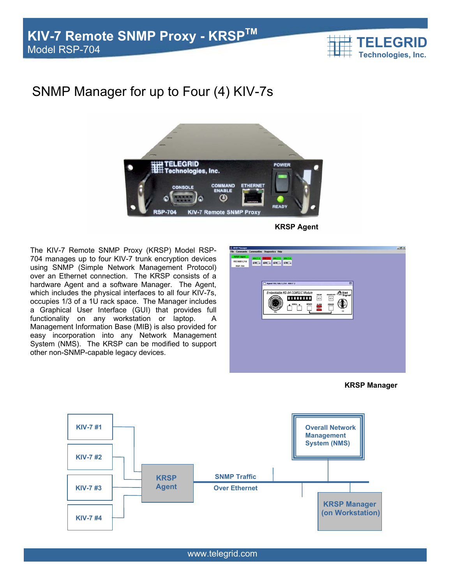

## SNMP Manager for up to Four (4) KIV-7s



The KIV-7 Remote SNMP Proxy (KRSP) Model RSP-704 manages up to four KIV-7 trunk encryption devices using SNMP (Simple Network Management Protocol) over an Ethernet connection. The KRSP consists of a hardware Agent and a software Manager. The Agent, which includes the physical interfaces to all four KIV-7s, occupies 1/3 of a 1U rack space. The Manager includes a Graphical User Interface (GUI) that provides full functionality on any workstation or laptop. A Management Information Base (MIB) is also provided for easy incorporation into any Network Management System (NMS). The KRSP can be modified to support other non-SNMP-capable legacy devices.

**SEARCH SHELL SHELL SHELL SHELL** -84 COMSEC Modul  $\triangle$  Hed **mini a**  $\begin{array}{c} \n\text{max} \\
\hline\n\end{array}$ ◍ **NEWTO** 籌

**KRSP Manager** 



www.telegrid.com